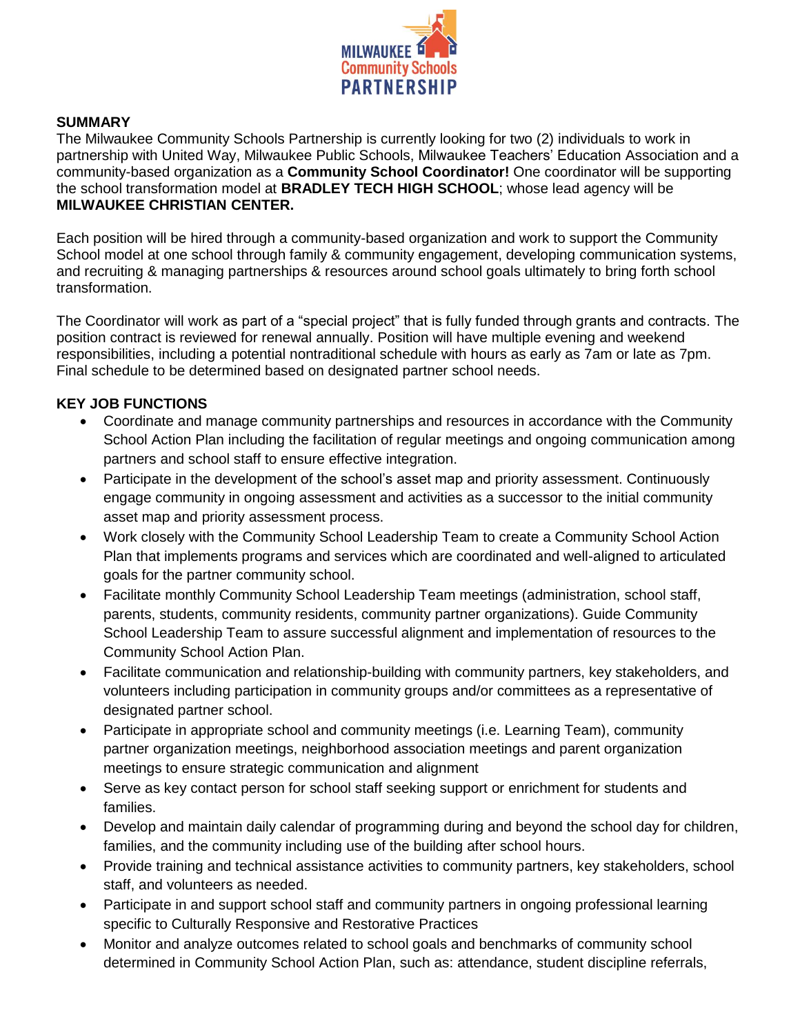

#### **SUMMARY**

The Milwaukee Community Schools Partnership is currently looking for two (2) individuals to work in partnership with United Way, Milwaukee Public Schools, Milwaukee Teachers' Education Association and a community-based organization as a **Community School Coordinator!** One coordinator will be supporting the school transformation model at **BRADLEY TECH HIGH SCHOOL**; whose lead agency will be **MILWAUKEE CHRISTIAN CENTER.**

Each position will be hired through a community-based organization and work to support the Community School model at one school through family & community engagement, developing communication systems, and recruiting & managing partnerships & resources around school goals ultimately to bring forth school transformation.

The Coordinator will work as part of a "special project" that is fully funded through grants and contracts. The position contract is reviewed for renewal annually. Position will have multiple evening and weekend responsibilities, including a potential nontraditional schedule with hours as early as 7am or late as 7pm. Final schedule to be determined based on designated partner school needs.

## **KEY JOB FUNCTIONS**

- Coordinate and manage community partnerships and resources in accordance with the Community School Action Plan including the facilitation of regular meetings and ongoing communication among partners and school staff to ensure effective integration.
- Participate in the development of the school's asset map and priority assessment. Continuously engage community in ongoing assessment and activities as a successor to the initial community asset map and priority assessment process.
- Work closely with the Community School Leadership Team to create a Community School Action Plan that implements programs and services which are coordinated and well-aligned to articulated goals for the partner community school.
- Facilitate monthly Community School Leadership Team meetings (administration, school staff, parents, students, community residents, community partner organizations). Guide Community School Leadership Team to assure successful alignment and implementation of resources to the Community School Action Plan.
- Facilitate communication and relationship-building with community partners, key stakeholders, and volunteers including participation in community groups and/or committees as a representative of designated partner school.
- Participate in appropriate school and community meetings (i.e. Learning Team), community partner organization meetings, neighborhood association meetings and parent organization meetings to ensure strategic communication and alignment
- Serve as key contact person for school staff seeking support or enrichment for students and families.
- Develop and maintain daily calendar of programming during and beyond the school day for children, families, and the community including use of the building after school hours.
- Provide training and technical assistance activities to community partners, key stakeholders, school staff, and volunteers as needed.
- Participate in and support school staff and community partners in ongoing professional learning specific to Culturally Responsive and Restorative Practices
- Monitor and analyze outcomes related to school goals and benchmarks of community school determined in Community School Action Plan, such as: attendance, student discipline referrals,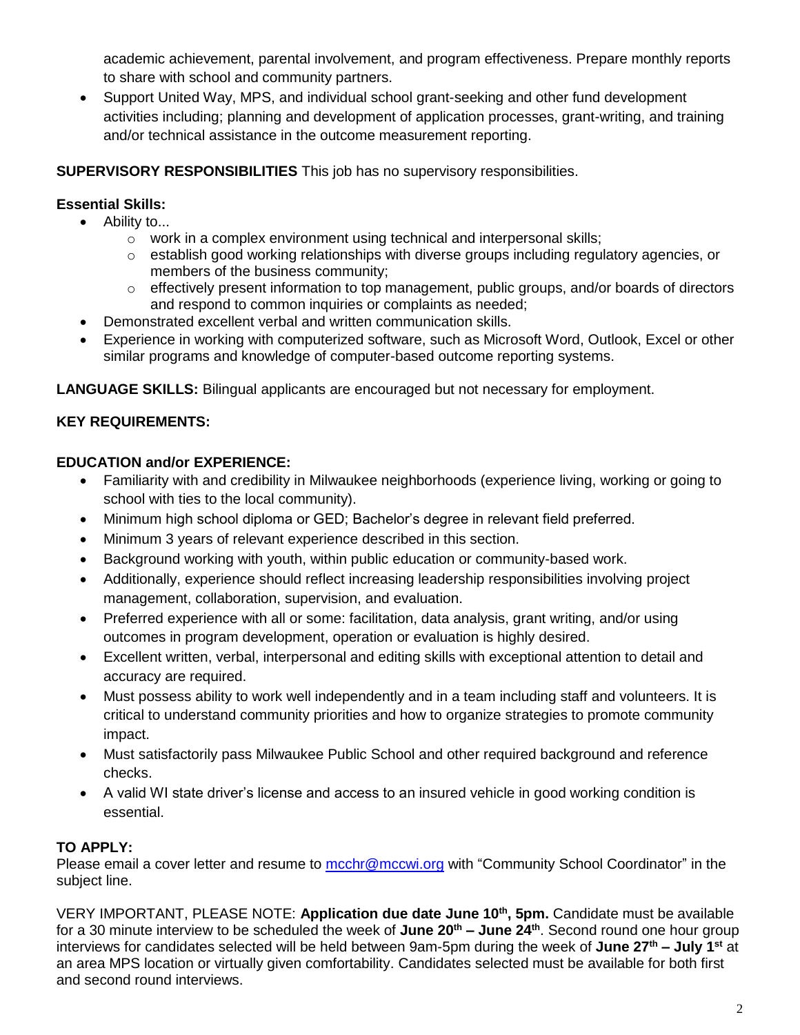academic achievement, parental involvement, and program effectiveness. Prepare monthly reports to share with school and community partners.

• Support United Way, MPS, and individual school grant-seeking and other fund development activities including; planning and development of application processes, grant-writing, and training and/or technical assistance in the outcome measurement reporting.

## **SUPERVISORY RESPONSIBILITIES** This job has no supervisory responsibilities.

# **Essential Skills:**

- Ability to...
	- o work in a complex environment using technical and interpersonal skills;
	- $\circ$  establish good working relationships with diverse groups including regulatory agencies, or members of the business community;
	- $\circ$  effectively present information to top management, public groups, and/or boards of directors and respond to common inquiries or complaints as needed;
- Demonstrated excellent verbal and written communication skills.
- Experience in working with computerized software, such as Microsoft Word, Outlook, Excel or other similar programs and knowledge of computer-based outcome reporting systems.

**LANGUAGE SKILLS:** Bilingual applicants are encouraged but not necessary for employment.

# **KEY REQUIREMENTS:**

## **EDUCATION and/or EXPERIENCE:**

- Familiarity with and credibility in Milwaukee neighborhoods (experience living, working or going to school with ties to the local community).
- Minimum high school diploma or GED; Bachelor's degree in relevant field preferred.
- Minimum 3 years of relevant experience described in this section.
- Background working with youth, within public education or community-based work.
- Additionally, experience should reflect increasing leadership responsibilities involving project management, collaboration, supervision, and evaluation.
- Preferred experience with all or some: facilitation, data analysis, grant writing, and/or using outcomes in program development, operation or evaluation is highly desired.
- Excellent written, verbal, interpersonal and editing skills with exceptional attention to detail and accuracy are required.
- Must possess ability to work well independently and in a team including staff and volunteers. It is critical to understand community priorities and how to organize strategies to promote community impact.
- Must satisfactorily pass Milwaukee Public School and other required background and reference checks.
- A valid WI state driver's license and access to an insured vehicle in good working condition is essential.

## **TO APPLY:**

Please email a cover letter and resume to [mcchr@mccwi.org](mailto:mcchr@mccwi.org) with "Community School Coordinator" in the subject line.

VERY IMPORTANT, PLEASE NOTE: **Application due date June 10th, 5pm.** Candidate must be available for a 30 minute interview to be scheduled the week of **June 20 th – June 24th**. Second round one hour group interviews for candidates selected will be held between 9am-5pm during the week of **June 27th – July 1st** at an area MPS location or virtually given comfortability. Candidates selected must be available for both first and second round interviews.